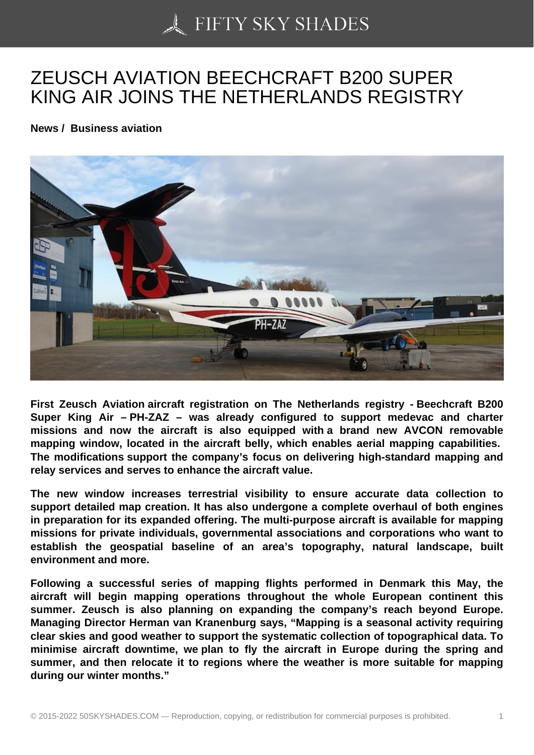## [ZEUSCH AVIATION B](https://50skyshades.com)EECHCRAFT B200 SUPER KING AIR JOINS THE NETHERLANDS REGISTRY

News / Business aviation

First Zeusch Aviation aircraft registration on The Netherlands registry - Beechcraft B200 Super King Air – PH-ZAZ – was already configured to support medevac and charter missions and now the aircraft is also equipped with a brand new AVCON removable mapping window, located in the aircraft belly, which enables aerial mapping capabilities. The modifications support the company's focus on delivering high-standard mapping and relay services and serves to enhance the aircraft value.

The new window increases terrestrial visibility to ensure accurate data collection to support detailed map creation. It has also undergone a complete overhaul of both engines in preparation for its expanded offering. The multi-purpose aircraft is available for mapping missions for private individuals, governmental associations and corporations who want to establish the geospatial baseline of an area's topography, natural landscape, built environment and more.

Following a successful series of mapping flights performed in Denmark this May, the aircraft will begin mapping operations throughout the whole European continent this summer. Zeusch is also planning on expanding the company's reach beyond Europe. Managing Director Herman van Kranenburg says, "Mapping is a seasonal activity requiring clear skies and good weather to support the systematic collection of topographical data. To minimise aircraft downtime, we plan to fly the aircraft in Europe during the spring and summer, and then relocate it to regions where the weather is more suitable for mapping during our winter months."